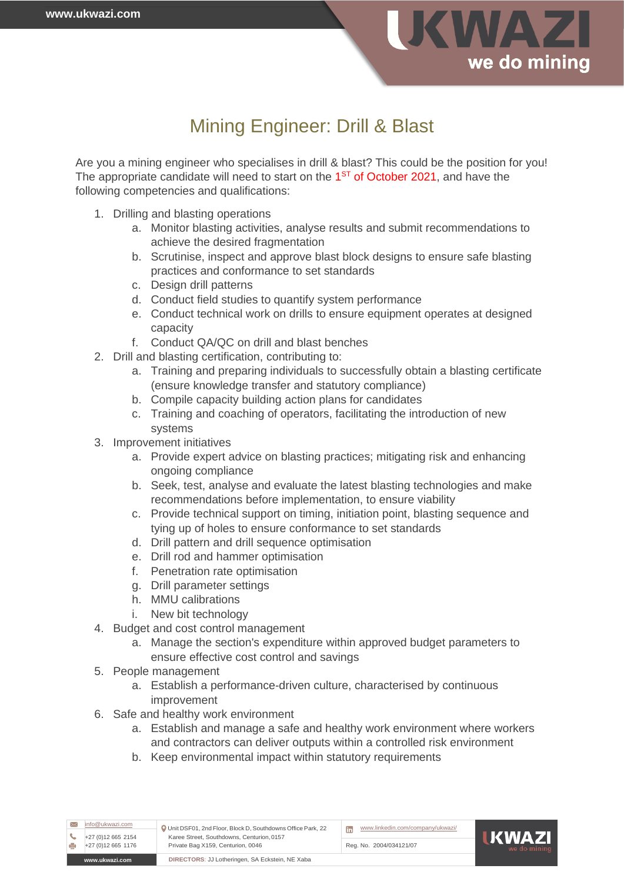

## Mining Engineer: Drill & Blast

Are you a mining engineer who specialises in drill & blast? This could be the position for you! The appropriate candidate will need to start on the 1<sup>st</sup> of October 2021, and have the following competencies and qualifications:

- 1. Drilling and blasting operations
	- a. Monitor blasting activities, analyse results and submit recommendations to achieve the desired fragmentation
	- b. Scrutinise, inspect and approve blast block designs to ensure safe blasting practices and conformance to set standards
	- c. Design drill patterns
	- d. Conduct field studies to quantify system performance
	- e. Conduct technical work on drills to ensure equipment operates at designed capacity
	- f. Conduct QA/QC on drill and blast benches
- 2. Drill and blasting certification, contributing to:
	- a. Training and preparing individuals to successfully obtain a blasting certificate (ensure knowledge transfer and statutory compliance)
	- b. Compile capacity building action plans for candidates
	- c. Training and coaching of operators, facilitating the introduction of new systems
- 3. Improvement initiatives
	- a. Provide expert advice on blasting practices; mitigating risk and enhancing ongoing compliance
	- b. Seek, test, analyse and evaluate the latest blasting technologies and make recommendations before implementation, to ensure viability
	- c. Provide technical support on timing, initiation point, blasting sequence and tying up of holes to ensure conformance to set standards
	- d. Drill pattern and drill sequence optimisation
	- e. Drill rod and hammer optimisation
	- f. Penetration rate optimisation
	- g. Drill parameter settings
	- h. MMU calibrations
	- i. New bit technology
- 4. Budget and cost control management
	- a. Manage the section's expenditure within approved budget parameters to ensure effective cost control and savings
- 5. People management
	- a. Establish a performance-driven culture, characterised by continuous improvement
- 6. Safe and healthy work environment
	- a. Establish and manage a safe and healthy work environment where workers and contractors can deliver outputs within a controlled risk environment
	- b. Keep environmental impact within statutory requirements